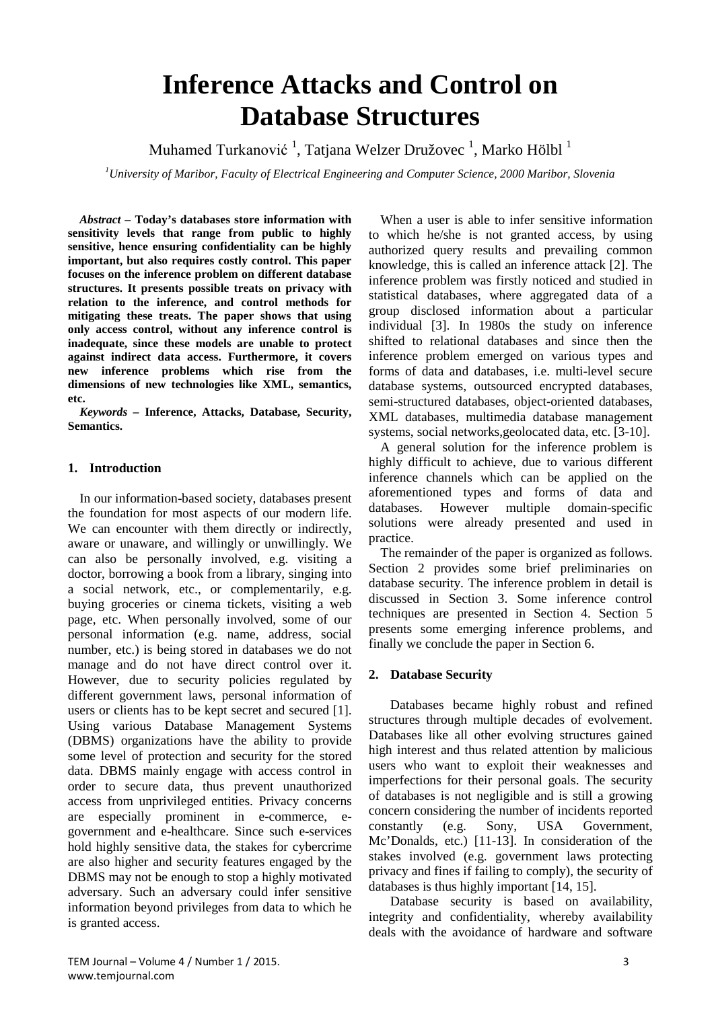# **Inference Attacks and Control on Database Structures**

Muhamed Turkanović <sup>1</sup>, Tatjana Welzer Družovec <sup>1</sup>, Marko Hölbl <sup>1</sup>

*1 University of Maribor, Faculty of Electrical Engineering and Computer Science, 2000 Maribor, Slovenia*

*Abstract –* **Today's databases store information with sensitivity levels that range from public to highly sensitive, hence ensuring confidentiality can be highly important, but also requires costly control. This paper focuses on the inference problem on different database structures. It presents possible treats on privacy with relation to the inference, and control methods for mitigating these treats. The paper shows that using only access control, without any inference control is inadequate, since these models are unable to protect against indirect data access. Furthermore, it covers new inference problems which rise from the dimensions of new technologies like XML, semantics, etc.**

*Keywords –* **Inference, Attacks, Database, Security, Semantics.**

# **1. Introduction**

In our information-based society, databases present the foundation for most aspects of our modern life. We can encounter with them directly or indirectly, aware or unaware, and willingly or unwillingly. We can also be personally involved, e.g. visiting a doctor, borrowing a book from a library, singing into a social network, etc., or complementarily, e.g. buying groceries or cinema tickets, visiting a web page, etc. When personally involved, some of our personal information (e.g. name, address, social number, etc.) is being stored in databases we do not manage and do not have direct control over it. However, due to security policies regulated by different government laws, personal information of users or clients has to be kept secret and secured [1]. Using various Database Management Systems (DBMS) organizations have the ability to provide some level of protection and security for the stored data. DBMS mainly engage with access control in order to secure data, thus prevent unauthorized access from unprivileged entities. Privacy concerns are especially prominent in e-commerce, egovernment and e-healthcare. Since such e-services hold highly sensitive data, the stakes for cybercrime are also higher and security features engaged by the DBMS may not be enough to stop a highly motivated adversary. Such an adversary could infer sensitive information beyond privileges from data to which he is granted access.

When a user is able to infer sensitive information to which he/she is not granted access, by using authorized query results and prevailing common knowledge, this is called an inference attack [2]. The inference problem was firstly noticed and studied in statistical databases, where aggregated data of a group disclosed information about a particular individual [3]. In 1980s the study on inference shifted to relational databases and since then the inference problem emerged on various types and forms of data and databases, i.e. multi-level secure database systems, outsourced encrypted databases, semi-structured databases, object-oriented databases, XML databases, multimedia database management systems, social networks,geolocated data, etc. [3-10].

A general solution for the inference problem is highly difficult to achieve, due to various different inference channels which can be applied on the aforementioned types and forms of data and databases. However multiple domain-specific solutions were already presented and used in practice.

The remainder of the paper is organized as follows. Section 2 provides some brief preliminaries on database security. The inference problem in detail is discussed in Section 3. Some inference control techniques are presented in Section 4. Section 5 presents some emerging inference problems, and finally we conclude the paper in Section 6.

# **2. Database Security**

Databases became highly robust and refined structures through multiple decades of evolvement. Databases like all other evolving structures gained high interest and thus related attention by malicious users who want to exploit their weaknesses and imperfections for their personal goals. The security of databases is not negligible and is still a growing concern considering the number of incidents reported constantly (e.g. Sony, USA Government, Mc'Donalds, etc.) [11-13]. In consideration of the stakes involved (e.g. government laws protecting privacy and fines if failing to comply), the security of databases is thus highly important [14, 15].

Database security is based on availability, integrity and confidentiality, whereby availability deals with the avoidance of hardware and software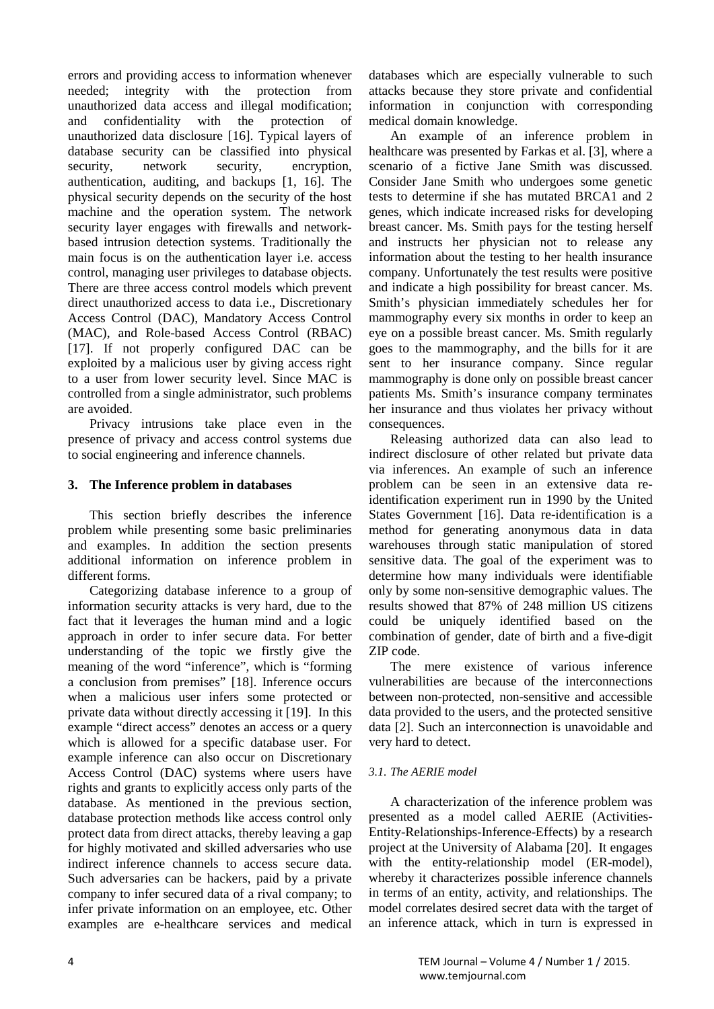errors and providing access to information whenever needed; integrity with the protection from unauthorized data access and illegal modification; and confidentiality with the protection of unauthorized data disclosure [16]. Typical layers of database security can be classified into physical security, network security, encryption, authentication, auditing, and backups [1, 16]. The physical security depends on the security of the host machine and the operation system. The network security layer engages with firewalls and networkbased intrusion detection systems. Traditionally the main focus is on the authentication layer i.e. access control, managing user privileges to database objects. There are three access control models which prevent direct unauthorized access to data i.e., Discretionary Access Control (DAC), Mandatory Access Control (MAC), and Role-based Access Control (RBAC) [17]. If not properly configured DAC can be exploited by a malicious user by giving access right to a user from lower security level. Since MAC is controlled from a single administrator, such problems are avoided.

Privacy intrusions take place even in the presence of privacy and access control systems due to social engineering and inference channels.

# **3. The Inference problem in databases**

This section briefly describes the inference problem while presenting some basic preliminaries and examples. In addition the section presents additional information on inference problem in different forms.

Categorizing database inference to a group of information security attacks is very hard, due to the fact that it leverages the human mind and a logic approach in order to infer secure data. For better understanding of the topic we firstly give the meaning of the word "inference", which is "forming a conclusion from premises" [18]. Inference occurs when a malicious user infers some protected or private data without directly accessing it [19]. In this example "direct access" denotes an access or a query which is allowed for a specific database user. For example inference can also occur on Discretionary Access Control (DAC) systems where users have rights and grants to explicitly access only parts of the database. As mentioned in the previous section, database protection methods like access control only protect data from direct attacks, thereby leaving a gap for highly motivated and skilled adversaries who use indirect inference channels to access secure data. Such adversaries can be hackers, paid by a private company to infer secured data of a rival company; to infer private information on an employee, etc. Other examples are e-healthcare services and medical

databases which are especially vulnerable to such attacks because they store private and confidential information in conjunction with corresponding medical domain knowledge.

An example of an inference problem in healthcare was presented by Farkas et al. [3], where a scenario of a fictive Jane Smith was discussed. Consider Jane Smith who undergoes some genetic tests to determine if she has mutated BRCA1 and 2 genes, which indicate increased risks for developing breast cancer. Ms. Smith pays for the testing herself and instructs her physician not to release any information about the testing to her health insurance company. Unfortunately the test results were positive and indicate a high possibility for breast cancer. Ms. Smith's physician immediately schedules her for mammography every six months in order to keep an eye on a possible breast cancer. Ms. Smith regularly goes to the mammography, and the bills for it are sent to her insurance company. Since regular mammography is done only on possible breast cancer patients Ms. Smith's insurance company terminates her insurance and thus violates her privacy without consequences.

Releasing authorized data can also lead to indirect disclosure of other related but private data via inferences. An example of such an inference problem can be seen in an extensive data reidentification experiment run in 1990 by the United States Government [16]. Data re-identification is a method for generating anonymous data in data warehouses through static manipulation of stored sensitive data. The goal of the experiment was to determine how many individuals were identifiable only by some non-sensitive demographic values. The results showed that 87% of 248 million US citizens could be uniquely identified based on the combination of gender, date of birth and a five-digit ZIP code.

The mere existence of various inference vulnerabilities are because of the interconnections between non-protected, non-sensitive and accessible data provided to the users, and the protected sensitive data [2]. Such an interconnection is unavoidable and very hard to detect.

# *3.1. The AERIE model*

A characterization of the inference problem was presented as a model called AERIE (Activities-Entity-Relationships-Inference-Effects) by a research project at the University of Alabama [20]. It engages with the entity-relationship model (ER-model), whereby it characterizes possible inference channels in terms of an entity, activity, and relationships. The model correlates desired secret data with the target of an inference attack, which in turn is expressed in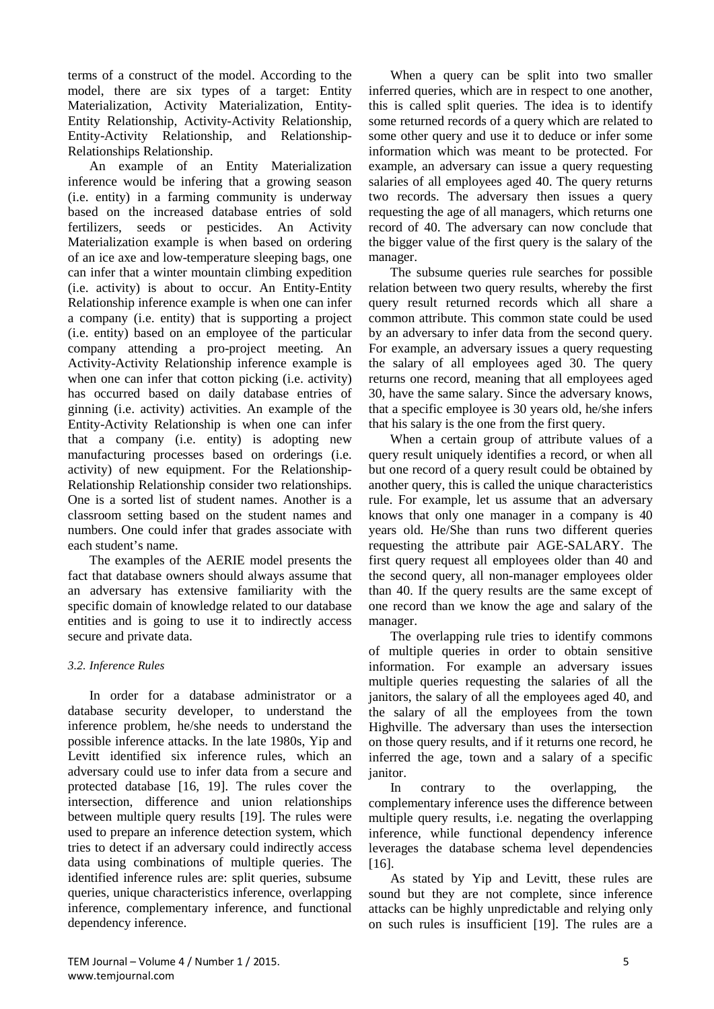terms of a construct of the model. According to the model, there are six types of a target: Entity Materialization, Activity Materialization, Entity-Entity Relationship, Activity-Activity Relationship, Entity-Activity Relationship, and Relationship-Relationships Relationship.

An example of an Entity Materialization inference would be infering that a growing season (i.e. entity) in a farming community is underway based on the increased database entries of sold fertilizers, seeds or pesticides. An Activity Materialization example is when based on ordering of an ice axe and low-temperature sleeping bags, one can infer that a winter mountain climbing expedition (i.e. activity) is about to occur. An Entity-Entity Relationship inference example is when one can infer a company (i.e. entity) that is supporting a project (i.e. entity) based on an employee of the particular company attending a pro-project meeting. An Activity-Activity Relationship inference example is when one can infer that cotton picking (i.e. activity) has occurred based on daily database entries of ginning (i.e. activity) activities. An example of the Entity-Activity Relationship is when one can infer that a company (i.e. entity) is adopting new manufacturing processes based on orderings (i.e. activity) of new equipment. For the Relationship-Relationship Relationship consider two relationships. One is a sorted list of student names. Another is a classroom setting based on the student names and numbers. One could infer that grades associate with each student's name.

The examples of the AERIE model presents the fact that database owners should always assume that an adversary has extensive familiarity with the specific domain of knowledge related to our database entities and is going to use it to indirectly access secure and private data.

# *3.2. Inference Rules*

In order for a database administrator or a database security developer, to understand the inference problem, he/she needs to understand the possible inference attacks. In the late 1980s, Yip and Levitt identified six inference rules, which an adversary could use to infer data from a secure and protected database [16, 19]. The rules cover the intersection, difference and union relationships between multiple query results [19]. The rules were used to prepare an inference detection system, which tries to detect if an adversary could indirectly access data using combinations of multiple queries. The identified inference rules are: split queries, subsume queries, unique characteristics inference, overlapping inference, complementary inference, and functional dependency inference.

When a query can be split into two smaller inferred queries, which are in respect to one another, this is called split queries. The idea is to identify some returned records of a query which are related to some other query and use it to deduce or infer some information which was meant to be protected. For example, an adversary can issue a query requesting salaries of all employees aged 40. The query returns two records. The adversary then issues a query requesting the age of all managers, which returns one record of 40. The adversary can now conclude that the bigger value of the first query is the salary of the manager.

The subsume queries rule searches for possible relation between two query results, whereby the first query result returned records which all share a common attribute. This common state could be used by an adversary to infer data from the second query. For example, an adversary issues a query requesting the salary of all employees aged 30. The query returns one record, meaning that all employees aged 30, have the same salary. Since the adversary knows, that a specific employee is 30 years old, he/she infers that his salary is the one from the first query.

When a certain group of attribute values of a query result uniquely identifies a record, or when all but one record of a query result could be obtained by another query, this is called the unique characteristics rule. For example, let us assume that an adversary knows that only one manager in a company is 40 years old. He/She than runs two different queries requesting the attribute pair AGE-SALARY. The first query request all employees older than 40 and the second query, all non-manager employees older than 40. If the query results are the same except of one record than we know the age and salary of the manager.

The overlapping rule tries to identify commons of multiple queries in order to obtain sensitive information. For example an adversary issues multiple queries requesting the salaries of all the janitors, the salary of all the employees aged 40, and the salary of all the employees from the town Highville. The adversary than uses the intersection on those query results, and if it returns one record, he inferred the age, town and a salary of a specific janitor.

In contrary to the overlapping, the complementary inference uses the difference between multiple query results, i.e. negating the overlapping inference, while functional dependency inference leverages the database schema level dependencies [16].

As stated by Yip and Levitt, these rules are sound but they are not complete, since inference attacks can be highly unpredictable and relying only on such rules is insufficient [19]. The rules are a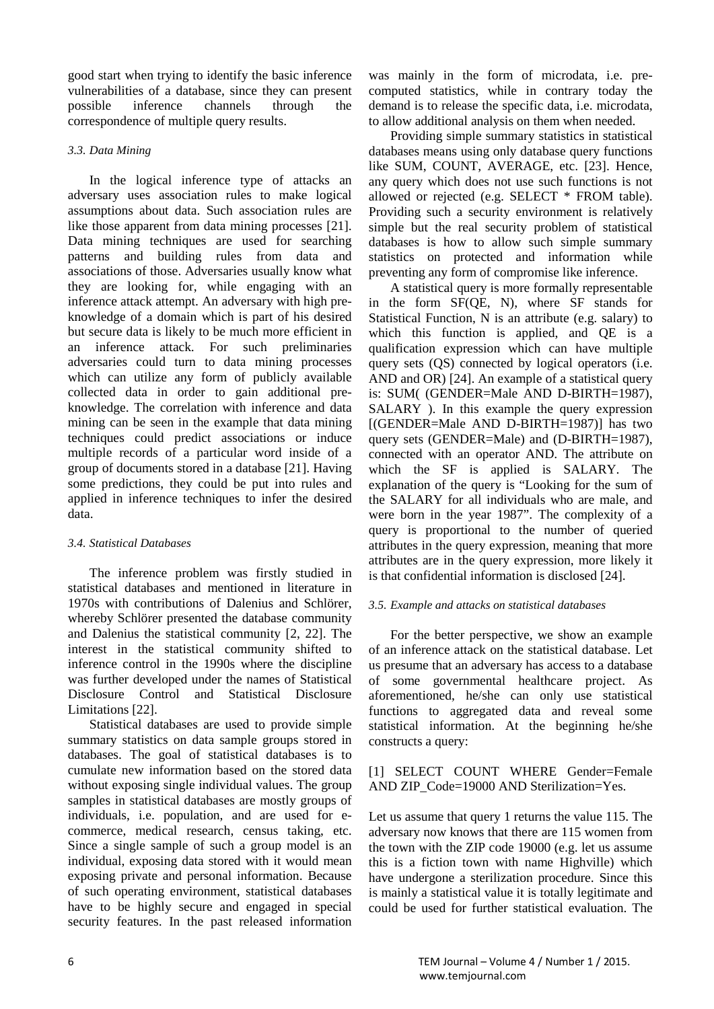good start when trying to identify the basic inference vulnerabilities of a database, since they can present possible inference channels through the correspondence of multiple query results.

# *3.3. Data Mining*

In the logical inference type of attacks an adversary uses association rules to make logical assumptions about data. Such association rules are like those apparent from data mining processes [21]. Data mining techniques are used for searching patterns and building rules from data and associations of those. Adversaries usually know what they are looking for, while engaging with an inference attack attempt. An adversary with high preknowledge of a domain which is part of his desired but secure data is likely to be much more efficient in an inference attack. For such preliminaries adversaries could turn to data mining processes which can utilize any form of publicly available collected data in order to gain additional preknowledge. The correlation with inference and data mining can be seen in the example that data mining techniques could predict associations or induce multiple records of a particular word inside of a group of documents stored in a database [21]. Having some predictions, they could be put into rules and applied in inference techniques to infer the desired data.

# *3.4. Statistical Databases*

The inference problem was firstly studied in statistical databases and mentioned in literature in 1970s with contributions of Dalenius and Schlörer, whereby Schlörer presented the database community and Dalenius the statistical community [2, 22]. The interest in the statistical community shifted to inference control in the 1990s where the discipline was further developed under the names of Statistical Disclosure Control and Statistical Disclosure Limitations [22].

Statistical databases are used to provide simple summary statistics on data sample groups stored in databases. The goal of statistical databases is to cumulate new information based on the stored data without exposing single individual values. The group samples in statistical databases are mostly groups of individuals, i.e. population, and are used for ecommerce, medical research, census taking, etc. Since a single sample of such a group model is an individual, exposing data stored with it would mean exposing private and personal information. Because of such operating environment, statistical databases have to be highly secure and engaged in special security features. In the past released information

was mainly in the form of microdata, i.e. precomputed statistics, while in contrary today the demand is to release the specific data, i.e. microdata, to allow additional analysis on them when needed.

Providing simple summary statistics in statistical databases means using only database query functions like SUM, COUNT, AVERAGE, etc. [23]. Hence, any query which does not use such functions is not allowed or rejected (e.g. SELECT \* FROM table). Providing such a security environment is relatively simple but the real security problem of statistical databases is how to allow such simple summary statistics on protected and information while preventing any form of compromise like inference.

A statistical query is more formally representable in the form SF(QE, N), where SF stands for Statistical Function, N is an attribute (e.g. salary) to which this function is applied, and QE is a qualification expression which can have multiple query sets (QS) connected by logical operators (i.e. AND and OR) [24]. An example of a statistical query is: SUM( (GENDER=Male AND D-BIRTH=1987), SALARY ). In this example the query expression [(GENDER=Male AND D-BIRTH=1987)] has two query sets (GENDER=Male) and (D-BIRTH=1987), connected with an operator AND. The attribute on which the SF is applied is SALARY. The explanation of the query is "Looking for the sum of the SALARY for all individuals who are male, and were born in the year 1987". The complexity of a query is proportional to the number of queried attributes in the query expression, meaning that more attributes are in the query expression, more likely it is that confidential information is disclosed [24].

# *3.5. Example and attacks on statistical databases*

For the better perspective, we show an example of an inference attack on the statistical database. Let us presume that an adversary has access to a database of some governmental healthcare project. As aforementioned, he/she can only use statistical functions to aggregated data and reveal some statistical information. At the beginning he/she constructs a query:

[1] SELECT COUNT WHERE Gender=Female AND ZIP\_Code=19000 AND Sterilization=Yes.

Let us assume that query 1 returns the value 115. The adversary now knows that there are 115 women from the town with the ZIP code 19000 (e.g. let us assume this is a fiction town with name Highville) which have undergone a sterilization procedure. Since this is mainly a statistical value it is totally legitimate and could be used for further statistical evaluation. The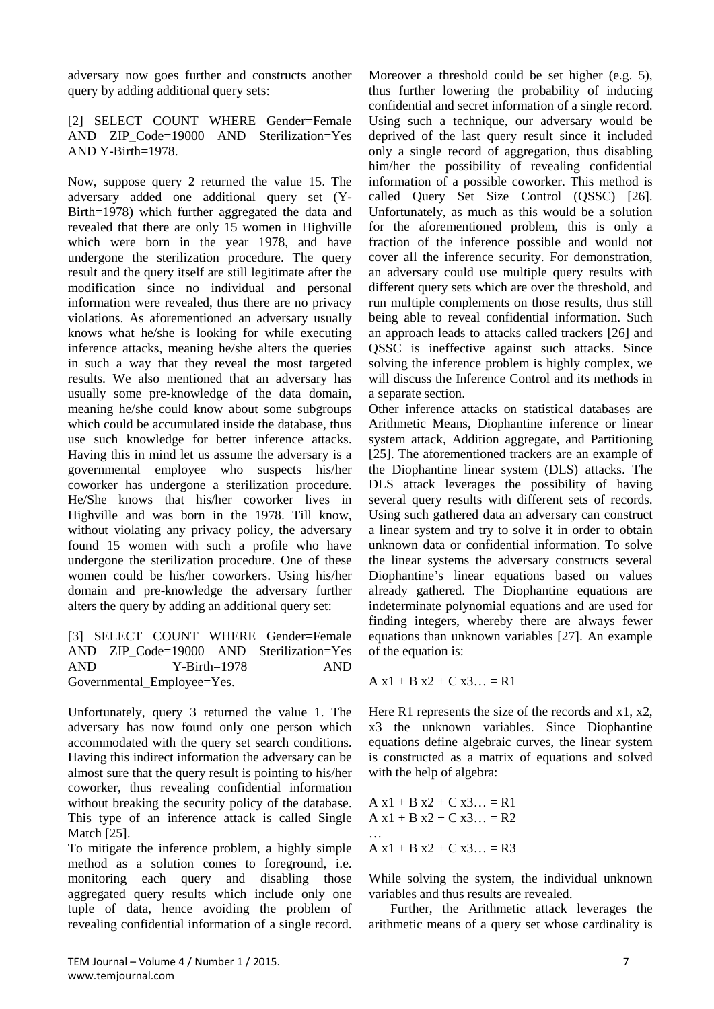adversary now goes further and constructs another query by adding additional query sets:

[2] SELECT COUNT WHERE Gender=Female AND ZIP Code=19000 AND Sterilization=Yes AND Y-Birth=1978.

Now, suppose query 2 returned the value 15. The adversary added one additional query set (Y-Birth=1978) which further aggregated the data and revealed that there are only 15 women in Highville which were born in the year 1978, and have undergone the sterilization procedure. The query result and the query itself are still legitimate after the modification since no individual and personal information were revealed, thus there are no privacy violations. As aforementioned an adversary usually knows what he/she is looking for while executing inference attacks, meaning he/she alters the queries in such a way that they reveal the most targeted results. We also mentioned that an adversary has usually some pre-knowledge of the data domain, meaning he/she could know about some subgroups which could be accumulated inside the database, thus use such knowledge for better inference attacks. Having this in mind let us assume the adversary is a governmental employee who suspects his/her coworker has undergone a sterilization procedure. He/She knows that his/her coworker lives in Highville and was born in the 1978. Till know, without violating any privacy policy, the adversary found 15 women with such a profile who have undergone the sterilization procedure. One of these women could be his/her coworkers. Using his/her domain and pre-knowledge the adversary further alters the query by adding an additional query set:

[3] SELECT COUNT WHERE Gender=Female AND ZIP\_Code=19000 AND Sterilization=Yes AND Y-Birth=1978 AND Governmental\_Employee=Yes.

Unfortunately, query 3 returned the value 1. The adversary has now found only one person which accommodated with the query set search conditions. Having this indirect information the adversary can be almost sure that the query result is pointing to his/her coworker, thus revealing confidential information without breaking the security policy of the database. This type of an inference attack is called Single Match [25].

To mitigate the inference problem, a highly simple method as a solution comes to foreground, i.e. monitoring each query and disabling those aggregated query results which include only one tuple of data, hence avoiding the problem of revealing confidential information of a single record.

Moreover a threshold could be set higher (e.g. 5), thus further lowering the probability of inducing confidential and secret information of a single record. Using such a technique, our adversary would be deprived of the last query result since it included only a single record of aggregation, thus disabling him/her the possibility of revealing confidential information of a possible coworker. This method is called Query Set Size Control (QSSC) [26]. Unfortunately, as much as this would be a solution for the aforementioned problem, this is only a fraction of the inference possible and would not cover all the inference security. For demonstration, an adversary could use multiple query results with different query sets which are over the threshold, and run multiple complements on those results, thus still being able to reveal confidential information. Such an approach leads to attacks called trackers [26] and QSSC is ineffective against such attacks. Since solving the inference problem is highly complex, we will discuss the Inference Control and its methods in a separate section.

Other inference attacks on statistical databases are Arithmetic Means, Diophantine inference or linear system attack, Addition aggregate, and Partitioning [25]. The aforementioned trackers are an example of the Diophantine linear system (DLS) attacks. The DLS attack leverages the possibility of having several query results with different sets of records. Using such gathered data an adversary can construct a linear system and try to solve it in order to obtain unknown data or confidential information. To solve the linear systems the adversary constructs several Diophantine's linear equations based on values already gathered. The Diophantine equations are indeterminate polynomial equations and are used for finding integers, whereby there are always fewer equations than unknown variables [27]. An example of the equation is:

 $A x1 + B x2 + C x3... = R1$ 

Here R1 represents the size of the records and  $x1, x2$ , x3 the unknown variables. Since Diophantine equations define algebraic curves, the linear system is constructed as a matrix of equations and solved with the help of algebra:

$$
A x1 + B x2 + C x3... = R1A x1 + B x2 + C x3... = R2...A x1 + B x2 + C x3... = R3
$$

While solving the system, the individual unknown variables and thus results are revealed.

Further, the Arithmetic attack leverages the arithmetic means of a query set whose cardinality is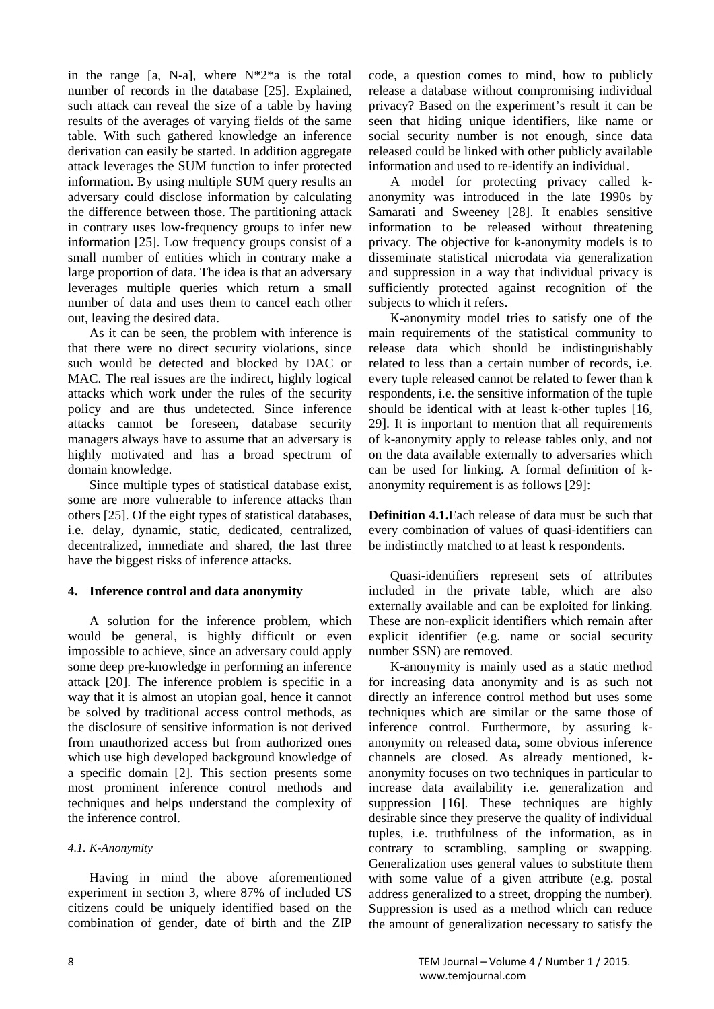in the range [a, N-a], where  $N^*2^*a$  is the total number of records in the database [25]. Explained, such attack can reveal the size of a table by having results of the averages of varying fields of the same table. With such gathered knowledge an inference derivation can easily be started. In addition aggregate attack leverages the SUM function to infer protected information. By using multiple SUM query results an adversary could disclose information by calculating the difference between those. The partitioning attack in contrary uses low-frequency groups to infer new information [25]. Low frequency groups consist of a small number of entities which in contrary make a large proportion of data. The idea is that an adversary leverages multiple queries which return a small number of data and uses them to cancel each other out, leaving the desired data.

As it can be seen, the problem with inference is that there were no direct security violations, since such would be detected and blocked by DAC or MAC. The real issues are the indirect, highly logical attacks which work under the rules of the security policy and are thus undetected. Since inference attacks cannot be foreseen, database security managers always have to assume that an adversary is highly motivated and has a broad spectrum of domain knowledge.

Since multiple types of statistical database exist, some are more vulnerable to inference attacks than others [25]. Of the eight types of statistical databases, i.e. delay, dynamic, static, dedicated, centralized, decentralized, immediate and shared, the last three have the biggest risks of inference attacks.

# **4. Inference control and data anonymity**

A solution for the inference problem, which would be general, is highly difficult or even impossible to achieve, since an adversary could apply some deep pre-knowledge in performing an inference attack [20]. The inference problem is specific in a way that it is almost an utopian goal, hence it cannot be solved by traditional access control methods, as the disclosure of sensitive information is not derived from unauthorized access but from authorized ones which use high developed background knowledge of a specific domain [2]. This section presents some most prominent inference control methods and techniques and helps understand the complexity of the inference control.

# *4.1. K-Anonymity*

Having in mind the above aforementioned experiment in section 3, where 87% of included US citizens could be uniquely identified based on the combination of gender, date of birth and the ZIP code, a question comes to mind, how to publicly release a database without compromising individual privacy? Based on the experiment's result it can be seen that hiding unique identifiers, like name or social security number is not enough, since data released could be linked with other publicly available information and used to re-identify an individual.

A model for protecting privacy called kanonymity was introduced in the late 1990s by Samarati and Sweeney [28]. It enables sensitive information to be released without threatening privacy. The objective for k-anonymity models is to disseminate statistical microdata via generalization and suppression in a way that individual privacy is sufficiently protected against recognition of the subjects to which it refers.

K-anonymity model tries to satisfy one of the main requirements of the statistical community to release data which should be indistinguishably related to less than a certain number of records, i.e. every tuple released cannot be related to fewer than k respondents, i.e. the sensitive information of the tuple should be identical with at least k-other tuples [16, 29]. It is important to mention that all requirements of k-anonymity apply to release tables only, and not on the data available externally to adversaries which can be used for linking. A formal definition of kanonymity requirement is as follows [29]:

**Definition 4.1.**Each release of data must be such that every combination of values of quasi-identifiers can be indistinctly matched to at least k respondents.

Quasi-identifiers represent sets of attributes included in the private table, which are also externally available and can be exploited for linking. These are non-explicit identifiers which remain after explicit identifier (e.g. name or social security number SSN) are removed.

K-anonymity is mainly used as a static method for increasing data anonymity and is as such not directly an inference control method but uses some techniques which are similar or the same those of inference control. Furthermore, by assuring kanonymity on released data, some obvious inference channels are closed. As already mentioned, kanonymity focuses on two techniques in particular to increase data availability i.e. generalization and suppression [16]. These techniques are highly desirable since they preserve the quality of individual tuples, i.e. truthfulness of the information, as in contrary to scrambling, sampling or swapping. Generalization uses general values to substitute them with some value of a given attribute (e.g. postal address generalized to a street, dropping the number). Suppression is used as a method which can reduce the amount of generalization necessary to satisfy the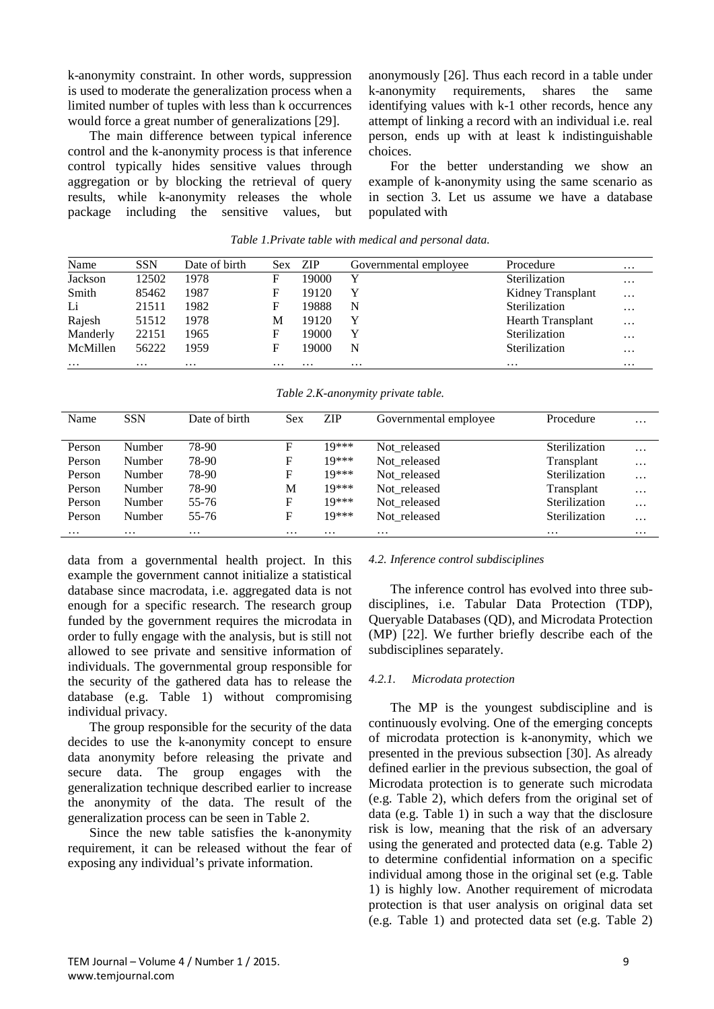k-anonymity constraint. In other words, suppression is used to moderate the generalization process when a limited number of tuples with less than k occurrences would force a great number of generalizations [29].

The main difference between typical inference control and the k-anonymity process is that inference control typically hides sensitive values through aggregation or by blocking the retrieval of query results, while k-anonymity releases the whole package including the sensitive values, but anonymously [26]. Thus each record in a table under k-anonymity requirements, shares the same identifying values with k-1 other records, hence any attempt of linking a record with an individual i.e. real person, ends up with at least k indistinguishable choices.

For the better understanding we show an example of k-anonymity using the same scenario as in section 3. Let us assume we have a database populated with

| Name     | <b>SSN</b> | Date of birth | <b>Sex</b> | ZIP      | Governmental emplovee | Procedure                | $\cdots$ |
|----------|------------|---------------|------------|----------|-----------------------|--------------------------|----------|
| Jackson  | 12502      | 1978          | F          | 19000    |                       | Sterilization            | $\cdots$ |
| Smith    | 85462      | 1987          | F          | 19120    | Y                     | Kidney Transplant        | $\cdots$ |
| Li       | 21511      | 1982          | F          | 19888    | N                     | Sterilization            | $\cdots$ |
| Rajesh   | 51512      | 1978          | M          | 19120    | Y                     | <b>Hearth Transplant</b> | $\cdots$ |
| Manderly | 22151      | 1965          | F          | 19000    | Y                     | Sterilization            | $\cdots$ |
| McMillen | 56222      | 1959          | F          | 19000    | N                     | Sterilization            | $\cdots$ |
| $\cdots$ | $\cdots$   | $\cdots$      | $\cdots$   | $\cdots$ | $\cdots$              | $\cdots$                 | $\cdots$ |

*Table 1.Private table with medical and personal data.*

*Table 2.K-anonymity private table.*

| Name     | <b>SSN</b> | Date of birth | Sex      | <b>ZIP</b> | Governmental employee | Procedure     | $\cdots$ |
|----------|------------|---------------|----------|------------|-----------------------|---------------|----------|
|          |            |               |          |            |                       |               |          |
| Person   | Number     | 78-90         | F        | 19***      | Not released          | Sterilization | $\cdots$ |
| Person   | Number     | 78-90         | F        | 19***      | Not released          | Transplant    | $\cdots$ |
| Person   | Number     | 78-90         | F        | $10***$    | Not released          | Sterilization | $\cdots$ |
| Person   | Number     | 78-90         | М        | 19***      | Not_released          | Transplant    | $\cdots$ |
| Person   | Number     | 55-76         | F        | 19***      | Not released          | Sterilization | $\cdots$ |
| Person   | Number     | 55-76         | F        | 19***      | Not released          | Sterilization | $\cdots$ |
| $\cdots$ | $\cdots$   | $\cdots$      | $\cdots$ | $\cdots$   | $\cdots$              | $\cdots$      | $\cdots$ |

data from a governmental health project. In this example the government cannot initialize a statistical database since macrodata, i.e. aggregated data is not enough for a specific research. The research group funded by the government requires the microdata in order to fully engage with the analysis, but is still not allowed to see private and sensitive information of individuals. The governmental group responsible for the security of the gathered data has to release the database (e.g. Table 1) without compromising individual privacy.

The group responsible for the security of the data decides to use the k-anonymity concept to ensure data anonymity before releasing the private and secure data. The group engages with the generalization technique described earlier to increase the anonymity of the data. The result of the generalization process can be seen in Table 2.

Since the new table satisfies the k-anonymity requirement, it can be released without the fear of exposing any individual's private information.

#### *4.2. Inference control subdisciplines*

The inference control has evolved into three subdisciplines, i.e. Tabular Data Protection (TDP), Queryable Databases (QD), and Microdata Protection (MP) [22]. We further briefly describe each of the subdisciplines separately.

#### *4.2.1. Microdata protection*

The MP is the youngest subdiscipline and is continuously evolving. One of the emerging concepts of microdata protection is k-anonymity, which we presented in the previous subsection [30]. As already defined earlier in the previous subsection, the goal of Microdata protection is to generate such microdata (e.g. Table 2), which defers from the original set of data (e.g. Table 1) in such a way that the disclosure risk is low, meaning that the risk of an adversary using the generated and protected data (e.g. Table 2) to determine confidential information on a specific individual among those in the original set (e.g. Table 1) is highly low. Another requirement of microdata protection is that user analysis on original data set (e.g. Table 1) and protected data set (e.g. Table 2)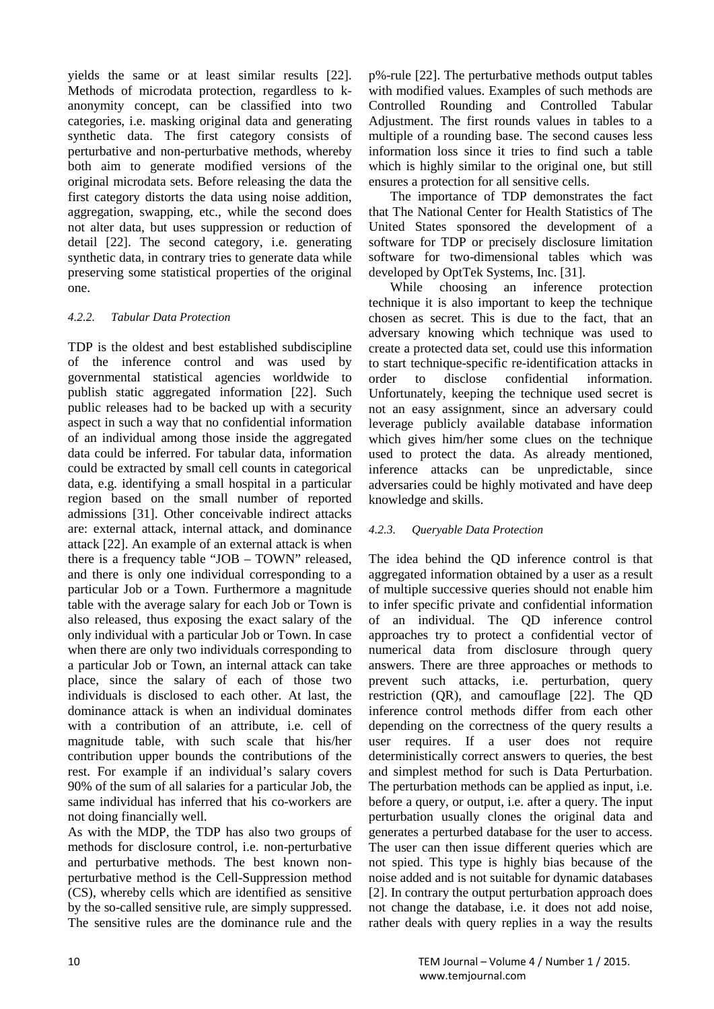yields the same or at least similar results [22]. Methods of microdata protection, regardless to kanonymity concept, can be classified into two categories, i.e. masking original data and generating synthetic data. The first category consists of perturbative and non-perturbative methods, whereby both aim to generate modified versions of the original microdata sets. Before releasing the data the first category distorts the data using noise addition, aggregation, swapping, etc., while the second does not alter data, but uses suppression or reduction of detail [22]. The second category, i.e. generating synthetic data, in contrary tries to generate data while preserving some statistical properties of the original one.

# *4.2.2. Tabular Data Protection*

TDP is the oldest and best established subdiscipline of the inference control and was used by governmental statistical agencies worldwide to publish static aggregated information [22]. Such public releases had to be backed up with a security aspect in such a way that no confidential information of an individual among those inside the aggregated data could be inferred. For tabular data, information could be extracted by small cell counts in categorical data, e.g. identifying a small hospital in a particular region based on the small number of reported admissions [31]. Other conceivable indirect attacks are: external attack, internal attack, and dominance attack [22]. An example of an external attack is when there is a frequency table "JOB – TOWN" released, and there is only one individual corresponding to a particular Job or a Town. Furthermore a magnitude table with the average salary for each Job or Town is also released, thus exposing the exact salary of the only individual with a particular Job or Town. In case when there are only two individuals corresponding to a particular Job or Town, an internal attack can take place, since the salary of each of those two individuals is disclosed to each other. At last, the dominance attack is when an individual dominates with a contribution of an attribute, i.e. cell of magnitude table, with such scale that his/her contribution upper bounds the contributions of the rest. For example if an individual's salary covers 90% of the sum of all salaries for a particular Job, the same individual has inferred that his co-workers are not doing financially well.

As with the MDP, the TDP has also two groups of methods for disclosure control, i.e. non-perturbative and perturbative methods. The best known nonperturbative method is the Cell-Suppression method (CS), whereby cells which are identified as sensitive by the so-called sensitive rule, are simply suppressed. The sensitive rules are the dominance rule and the

p%-rule [22]. The perturbative methods output tables with modified values. Examples of such methods are Controlled Rounding and Controlled Tabular Adjustment. The first rounds values in tables to a multiple of a rounding base. The second causes less information loss since it tries to find such a table which is highly similar to the original one, but still ensures a protection for all sensitive cells.

The importance of TDP demonstrates the fact that The National Center for Health Statistics of The United States sponsored the development of a software for TDP or precisely disclosure limitation software for two-dimensional tables which was developed by OptTek Systems, Inc. [31].

While choosing an inference protection technique it is also important to keep the technique chosen as secret. This is due to the fact, that an adversary knowing which technique was used to create a protected data set, could use this information to start technique-specific re-identification attacks in order to disclose confidential information. Unfortunately, keeping the technique used secret is not an easy assignment, since an adversary could leverage publicly available database information which gives him/her some clues on the technique used to protect the data. As already mentioned, inference attacks can be unpredictable, since adversaries could be highly motivated and have deep knowledge and skills.

# *4.2.3. Queryable Data Protection*

The idea behind the QD inference control is that aggregated information obtained by a user as a result of multiple successive queries should not enable him to infer specific private and confidential information of an individual. The QD inference control approaches try to protect a confidential vector of numerical data from disclosure through query answers. There are three approaches or methods to prevent such attacks, i.e. perturbation, query restriction (QR), and camouflage [22]. The QD inference control methods differ from each other depending on the correctness of the query results a user requires. If a user does not require deterministically correct answers to queries, the best and simplest method for such is Data Perturbation. The perturbation methods can be applied as input, i.e. before a query, or output, i.e. after a query. The input perturbation usually clones the original data and generates a perturbed database for the user to access. The user can then issue different queries which are not spied. This type is highly bias because of the noise added and is not suitable for dynamic databases [2]. In contrary the output perturbation approach does not change the database, i.e. it does not add noise, rather deals with query replies in a way the results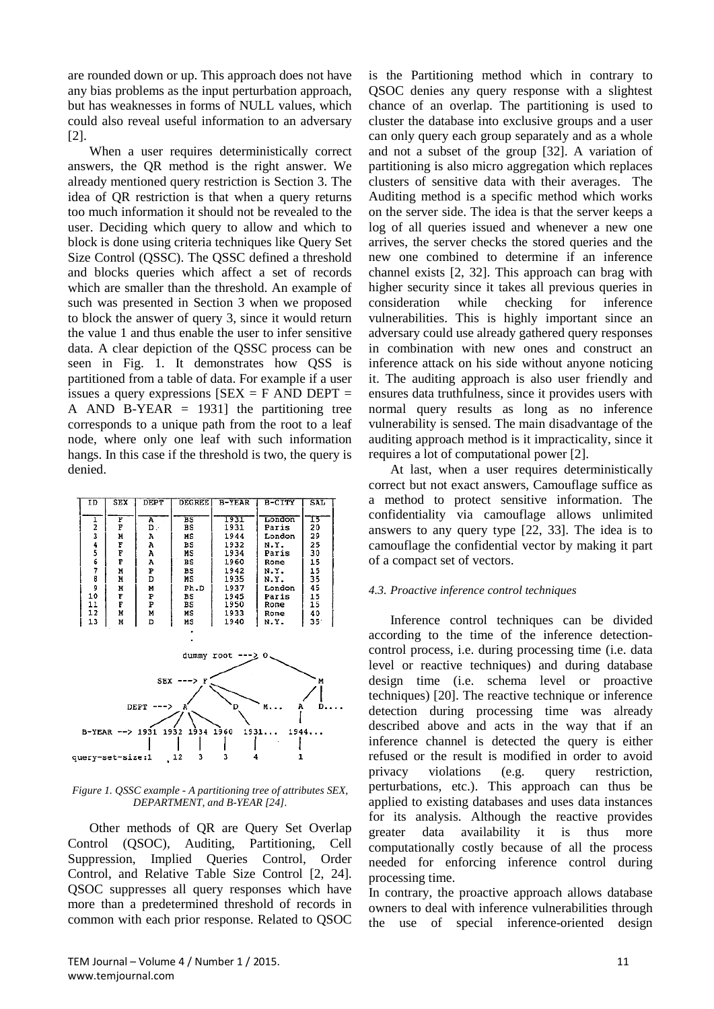are rounded down or up. This approach does not have any bias problems as the input perturbation approach, but has weaknesses in forms of NULL values, which could also reveal useful information to an adversary [2].

When a user requires deterministically correct answers, the QR method is the right answer. We already mentioned query restriction is Section 3. The idea of QR restriction is that when a query returns too much information it should not be revealed to the user. Deciding which query to allow and which to block is done using criteria techniques like Query Set Size Control (QSSC). The QSSC defined a threshold and blocks queries which affect a set of records which are smaller than the threshold. An example of such was presented in Section 3 when we proposed to block the answer of query 3, since it would return the value 1 and thus enable the user to infer sensitive data. A clear depiction of the QSSC process can be seen in Fig. 1. It demonstrates how QSS is partitioned from a table of data. For example if a user issues a query expressions  $[SEX = F AND DEPT =$ A AND B-YEAR  $=$  1931] the partitioning tree corresponds to a unique path from the root to a leaf node, where only one leaf with such information hangs. In this case if the threshold is two, the query is denied.

| ID             | <b>SEX</b> | <b>DEPT</b> | <b>DEGREE</b> | $B-YEAR$ | B-CITY | <b>SAL</b> |  |
|----------------|------------|-------------|---------------|----------|--------|------------|--|
|                |            |             |               |          |        |            |  |
| ı              | F          | A           | $_{BS}$       | 1931     | London | 15         |  |
| $\overline{a}$ | F          | D.          | BS            | 1931     | Paris  | 20         |  |
| 3              | M          | А           | мs            | 1944     | London | 29         |  |
| 4              | F          | Α           | вs            | 1932     | N.Y.   | 25         |  |
| 5              | F          | А           | MS            | 1934     | Paris  | 30         |  |
| б              | F          | A           | вs            | 1960     | Rome   | 15         |  |
| 7              | N          | Þ           | BS            | 1942     | N.Y.   | 15         |  |
| 8              | M          | D           | мs            | 1935     | N.Y.   | 35         |  |
| 9              | M          | м           | Ph.D          | 1937     | London | 45         |  |
| 10             | F          | P           | вs            | 1945     | Paris  | 15         |  |
| 11             | F          | Þ           | BS            | 1950     | Rome   | 15         |  |
| 12             | M          | м           | мs            | 1933     | Rome   | 40         |  |
| 13             | M          | D           | MS            | 1940     | N.Y.   | 35         |  |
|                |            |             |               |          |        |            |  |
|                |            |             |               |          |        |            |  |



*Figure 1. QSSC example - A partitioning tree of attributes SEX, DEPARTMENT, and B-YEAR [24].*

Other methods of QR are Query Set Overlap Control (QSOC), Auditing, Partitioning, Cell Suppression, Implied Queries Control, Order Control, and Relative Table Size Control [2, 24]. QSOC suppresses all query responses which have more than a predetermined threshold of records in common with each prior response. Related to QSOC

is the Partitioning method which in contrary to QSOC denies any query response with a slightest chance of an overlap. The partitioning is used to cluster the database into exclusive groups and a user can only query each group separately and as a whole and not a subset of the group [32]. A variation of partitioning is also micro aggregation which replaces clusters of sensitive data with their averages. The Auditing method is a specific method which works on the server side. The idea is that the server keeps a log of all queries issued and whenever a new one arrives, the server checks the stored queries and the new one combined to determine if an inference channel exists [2, 32]. This approach can brag with higher security since it takes all previous queries in consideration while checking for inference vulnerabilities. This is highly important since an adversary could use already gathered query responses in combination with new ones and construct an inference attack on his side without anyone noticing it. The auditing approach is also user friendly and ensures data truthfulness, since it provides users with normal query results as long as no inference vulnerability is sensed. The main disadvantage of the auditing approach method is it impracticality, since it requires a lot of computational power [2].

At last, when a user requires deterministically correct but not exact answers, Camouflage suffice as a method to protect sensitive information. The confidentiality via camouflage allows unlimited answers to any query type [22, 33]. The idea is to camouflage the confidential vector by making it part of a compact set of vectors.

# *4.3. Proactive inference control techniques*

Inference control techniques can be divided according to the time of the inference detectioncontrol process, i.e. during processing time (i.e. data level or reactive techniques) and during database design time (i.e. schema level or proactive techniques) [20]. The reactive technique or inference detection during processing time was already described above and acts in the way that if an inference channel is detected the query is either refused or the result is modified in order to avoid privacy violations (e.g. query restriction, perturbations, etc.). This approach can thus be applied to existing databases and uses data instances for its analysis. Although the reactive provides greater data availability it is thus more computationally costly because of all the process needed for enforcing inference control during processing time.

In contrary, the proactive approach allows database owners to deal with inference vulnerabilities through the use of special inference-oriented design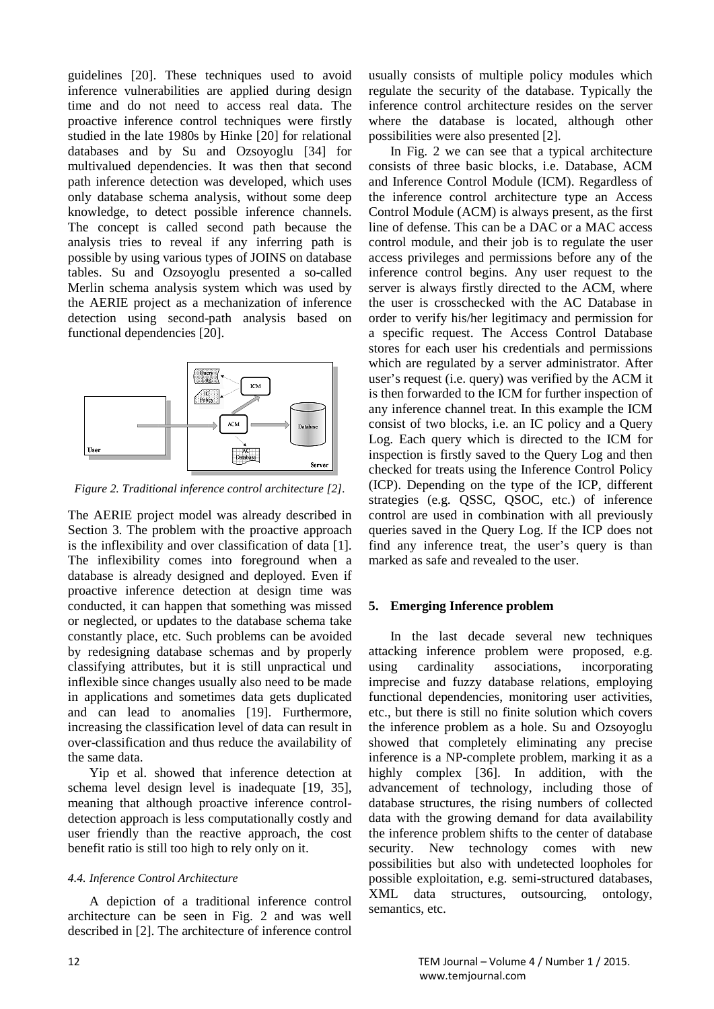guidelines [20]. These techniques used to avoid inference vulnerabilities are applied during design time and do not need to access real data. The proactive inference control techniques were firstly studied in the late 1980s by Hinke [20] for relational databases and by Su and Ozsoyoglu [34] for multivalued dependencies. It was then that second path inference detection was developed, which uses only database schema analysis, without some deep knowledge, to detect possible inference channels. The concept is called second path because the analysis tries to reveal if any inferring path is possible by using various types of JOINS on database tables. Su and Ozsoyoglu presented a so-called Merlin schema analysis system which was used by the AERIE project as a mechanization of inference detection using second-path analysis based on functional dependencies [20].



*Figure 2. Traditional inference control architecture [2].*

The AERIE project model was already described in Section 3. The problem with the proactive approach is the inflexibility and over classification of data [1]. The inflexibility comes into foreground when a database is already designed and deployed. Even if proactive inference detection at design time was conducted, it can happen that something was missed or neglected, or updates to the database schema take constantly place, etc. Such problems can be avoided by redesigning database schemas and by properly classifying attributes, but it is still unpractical und inflexible since changes usually also need to be made in applications and sometimes data gets duplicated and can lead to anomalies [19]. Furthermore, increasing the classification level of data can result in over-classification and thus reduce the availability of the same data.

Yip et al. showed that inference detection at schema level design level is inadequate [19, 35], meaning that although proactive inference controldetection approach is less computationally costly and user friendly than the reactive approach, the cost benefit ratio is still too high to rely only on it.

# *4.4. Inference Control Architecture*

A depiction of a traditional inference control architecture can be seen in Fig. 2 and was well described in [2]. The architecture of inference control usually consists of multiple policy modules which regulate the security of the database. Typically the inference control architecture resides on the server where the database is located, although other possibilities were also presented [2].

In Fig. 2 we can see that a typical architecture consists of three basic blocks, i.e. Database, ACM and Inference Control Module (ICM). Regardless of the inference control architecture type an Access Control Module (ACM) is always present, as the first line of defense. This can be a DAC or a MAC access control module, and their job is to regulate the user access privileges and permissions before any of the inference control begins. Any user request to the server is always firstly directed to the ACM, where the user is crosschecked with the AC Database in order to verify his/her legitimacy and permission for a specific request. The Access Control Database stores for each user his credentials and permissions which are regulated by a server administrator. After user's request (i.e. query) was verified by the ACM it is then forwarded to the ICM for further inspection of any inference channel treat. In this example the ICM consist of two blocks, i.e. an IC policy and a Query Log. Each query which is directed to the ICM for inspection is firstly saved to the Query Log and then checked for treats using the Inference Control Policy (ICP). Depending on the type of the ICP, different strategies (e.g. QSSC, QSOC, etc.) of inference control are used in combination with all previously queries saved in the Query Log. If the ICP does not find any inference treat, the user's query is than marked as safe and revealed to the user.

# **5. Emerging Inference problem**

In the last decade several new techniques attacking inference problem were proposed, e.g. using cardinality associations, incorporating imprecise and fuzzy database relations, employing functional dependencies, monitoring user activities, etc., but there is still no finite solution which covers the inference problem as a hole. Su and Ozsoyoglu showed that completely eliminating any precise inference is a NP-complete problem, marking it as a highly complex [36]. In addition, with the advancement of technology, including those of database structures, the rising numbers of collected data with the growing demand for data availability the inference problem shifts to the center of database security. New technology comes with new possibilities but also with undetected loopholes for possible exploitation, e.g. semi-structured databases, XML data structures, outsourcing, ontology, semantics, etc.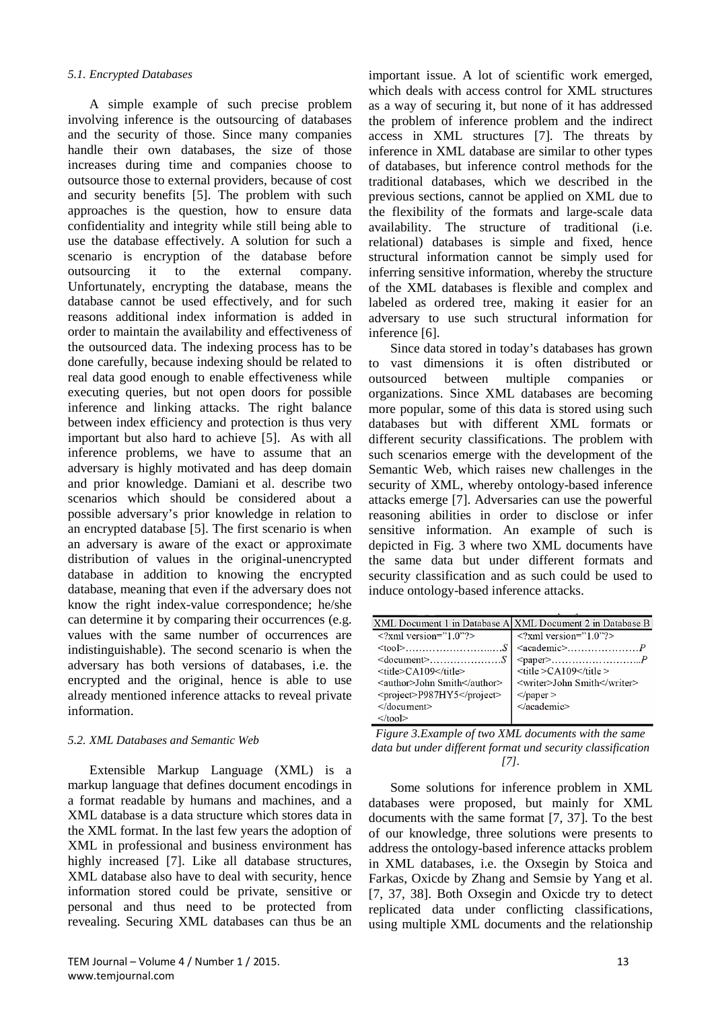#### *5.1. Encrypted Databases*

A simple example of such precise problem involving inference is the outsourcing of databases and the security of those. Since many companies handle their own databases, the size of those increases during time and companies choose to outsource those to external providers, because of cost and security benefits [5]. The problem with such approaches is the question, how to ensure data confidentiality and integrity while still being able to use the database effectively. A solution for such a scenario is encryption of the database before outsourcing it to the external company. Unfortunately, encrypting the database, means the database cannot be used effectively, and for such reasons additional index information is added in order to maintain the availability and effectiveness of the outsourced data. The indexing process has to be done carefully, because indexing should be related to real data good enough to enable effectiveness while executing queries, but not open doors for possible inference and linking attacks. The right balance between index efficiency and protection is thus very important but also hard to achieve [5]. As with all inference problems, we have to assume that an adversary is highly motivated and has deep domain and prior knowledge. Damiani et al. describe two scenarios which should be considered about a possible adversary's prior knowledge in relation to an encrypted database [5]. The first scenario is when an adversary is aware of the exact or approximate distribution of values in the original-unencrypted database in addition to knowing the encrypted database, meaning that even if the adversary does not know the right index-value correspondence; he/she can determine it by comparing their occurrences (e.g. values with the same number of occurrences are indistinguishable). The second scenario is when the adversary has both versions of databases, i.e. the encrypted and the original, hence is able to use already mentioned inference attacks to reveal private information.

#### *5.2. XML Databases and Semantic Web*

Extensible Markup Language (XML) is a markup language that defines document encodings in a format readable by humans and machines, and a XML database is a data structure which stores data in the XML format. In the last few years the adoption of XML in professional and business environment has highly increased [7]. Like all database structures, XML database also have to deal with security, hence information stored could be private, sensitive or personal and thus need to be protected from revealing. Securing XML databases can thus be an

important issue. A lot of scientific work emerged, which deals with access control for XML structures as a way of securing it, but none of it has addressed the problem of inference problem and the indirect access in XML structures [7]. The threats by inference in XML database are similar to other types of databases, but inference control methods for the traditional databases, which we described in the previous sections, cannot be applied on XML due to the flexibility of the formats and large-scale data availability. The structure of traditional (i.e. relational) databases is simple and fixed, hence structural information cannot be simply used for inferring sensitive information, whereby the structure of the XML databases is flexible and complex and labeled as ordered tree, making it easier for an adversary to use such structural information for inference [6].

Since data stored in today's databases has grown to vast dimensions it is often distributed or outsourced between multiple companies or organizations. Since XML databases are becoming more popular, some of this data is stored using such databases but with different XML formats or different security classifications. The problem with such scenarios emerge with the development of the Semantic Web, which raises new challenges in the security of XML, whereby ontology-based inference attacks emerge [7]. Adversaries can use the powerful reasoning abilities in order to disclose or infer sensitive information. An example of such is depicted in Fig. 3 where two XML documents have the same data but under different formats and security classification and as such could be used to induce ontology-based inference attacks.

|                                | XML Document 1 in Database A XML Document 2 in Database B |
|--------------------------------|-----------------------------------------------------------|
| $\langle$ ?xml version="1.0"?> | $\langle$ ?xml version="1.0"?>                            |
|                                |                                                           |
|                                |                                                           |
| <title>CA109</title>           | $<$ title > CA109 $<$ /title >                            |
| <author>John Smith</author>    | <writer>John Smith</writer>                               |
| <project>P987HY5</project>     | $<$ /paper >                                              |
| $\langle$ document $\rangle$   |                                                           |
| $\langle$ tool>                |                                                           |
|                                |                                                           |

*Figure 3.Example of two XML documents with the same data but under different format und security classification [7].*

Some solutions for inference problem in XML databases were proposed, but mainly for XML documents with the same format [7, 37]. To the best of our knowledge, three solutions were presents to address the ontology-based inference attacks problem in XML databases, i.e. the Oxsegin by Stoica and Farkas, Oxicde by Zhang and Semsie by Yang et al. [7, 37, 38]. Both Oxsegin and Oxicde try to detect replicated data under conflicting classifications, using multiple XML documents and the relationship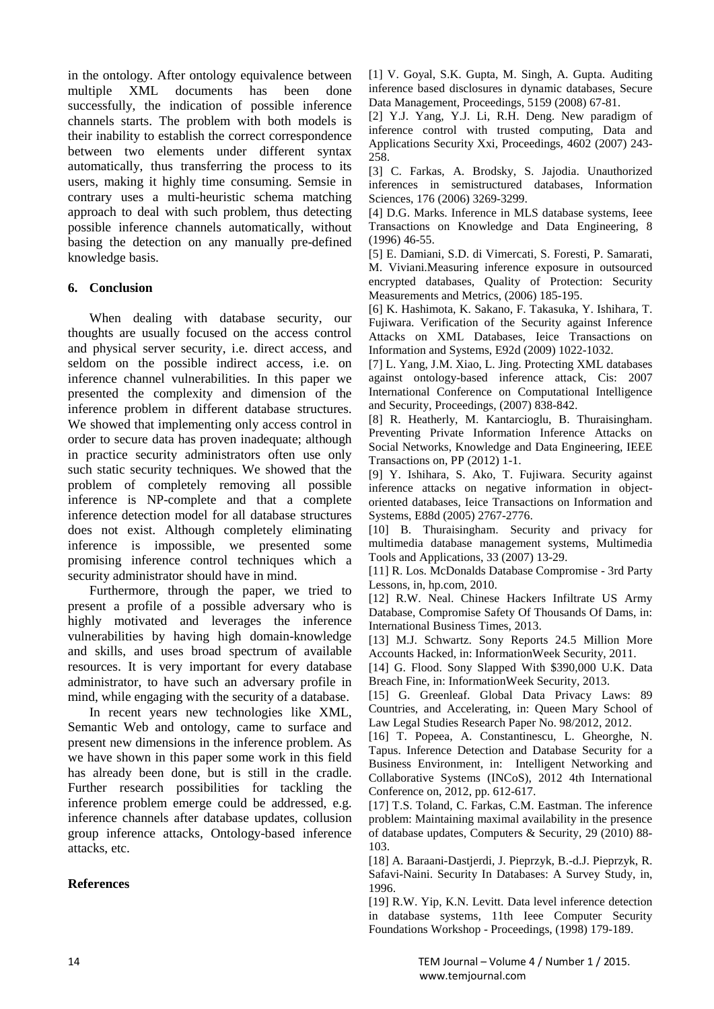in the ontology. After ontology equivalence between multiple XML documents has been done successfully, the indication of possible inference channels starts. The problem with both models is their inability to establish the correct correspondence between two elements under different syntax automatically, thus transferring the process to its users, making it highly time consuming. Semsie in contrary uses a multi-heuristic schema matching approach to deal with such problem, thus detecting possible inference channels automatically, without basing the detection on any manually pre-defined knowledge basis.

# **6. Conclusion**

When dealing with database security, our thoughts are usually focused on the access control and physical server security, i.e. direct access, and seldom on the possible indirect access, i.e. on inference channel vulnerabilities. In this paper we presented the complexity and dimension of the inference problem in different database structures. We showed that implementing only access control in order to secure data has proven inadequate; although in practice security administrators often use only such static security techniques. We showed that the problem of completely removing all possible inference is NP-complete and that a complete inference detection model for all database structures does not exist. Although completely eliminating inference is impossible, we presented some promising inference control techniques which a security administrator should have in mind.

Furthermore, through the paper, we tried to present a profile of a possible adversary who is highly motivated and leverages the inference vulnerabilities by having high domain-knowledge and skills, and uses broad spectrum of available resources. It is very important for every database administrator, to have such an adversary profile in mind, while engaging with the security of a database.

In recent years new technologies like XML, Semantic Web and ontology, came to surface and present new dimensions in the inference problem. As we have shown in this paper some work in this field has already been done, but is still in the cradle. Further research possibilities for tackling the inference problem emerge could be addressed, e.g. inference channels after database updates, collusion group inference attacks, Ontology-based inference attacks, etc.

# **References**

[1] V. Goyal, S.K. Gupta, M. Singh, A. Gupta. Auditing inference based disclosures in dynamic databases, Secure Data Management, Proceedings, 5159 (2008) 67-81.

[2] Y.J. Yang, Y.J. Li, R.H. Deng. New paradigm of inference control with trusted computing, Data and Applications Security Xxi, Proceedings, 4602 (2007) 243- 258.

[3] C. Farkas, A. Brodsky, S. Jajodia. Unauthorized inferences in semistructured databases, Information Sciences, 176 (2006) 3269-3299.

[4] D.G. Marks. Inference in MLS database systems, Ieee Transactions on Knowledge and Data Engineering, 8 (1996) 46-55.

[5] E. Damiani, S.D. di Vimercati, S. Foresti, P. Samarati, M. Viviani.Measuring inference exposure in outsourced encrypted databases, Quality of Protection: Security Measurements and Metrics, (2006) 185-195.

[6] K. Hashimota, K. Sakano, F. Takasuka, Y. Ishihara, T. Fujiwara. Verification of the Security against Inference Attacks on XML Databases, Ieice Transactions on Information and Systems, E92d (2009) 1022-1032.

[7] L. Yang, J.M. Xiao, L. Jing. Protecting XML databases against ontology-based inference attack, Cis: 2007 International Conference on Computational Intelligence and Security, Proceedings, (2007) 838-842.

[8] R. Heatherly, M. Kantarcioglu, B. Thuraisingham. Preventing Private Information Inference Attacks on Social Networks, Knowledge and Data Engineering, IEEE Transactions on, PP (2012) 1-1.

[9] Y. Ishihara, S. Ako, T. Fujiwara. Security against inference attacks on negative information in objectoriented databases, Ieice Transactions on Information and Systems, E88d (2005) 2767-2776.

[10] B. Thuraisingham. Security and privacy for multimedia database management systems, Multimedia Tools and Applications, 33 (2007) 13-29.

[11] R. Los. McDonalds Database Compromise - 3rd Party Lessons, in, hp.com, 2010.

[12] R.W. Neal. Chinese Hackers Infiltrate US Army Database, Compromise Safety Of Thousands Of Dams, in: International Business Times, 2013.

[13] M.J. Schwartz. Sony Reports 24.5 Million More Accounts Hacked, in: InformationWeek Security, 2011.

[14] G. Flood. Sony Slapped With \$390,000 U.K. Data Breach Fine, in: InformationWeek Security, 2013.

[15] G. Greenleaf. Global Data Privacy Laws: 89 Countries, and Accelerating, in: Queen Mary School of Law Legal Studies Research Paper No. 98/2012, 2012.

[16] T. Popeea, A. Constantinescu, L. Gheorghe, N. Tapus. Inference Detection and Database Security for a Business Environment, in: Intelligent Networking and Collaborative Systems (INCoS), 2012 4th International Conference on, 2012, pp. 612-617.

[17] T.S. Toland, C. Farkas, C.M. Eastman. The inference problem: Maintaining maximal availability in the presence of database updates, Computers & Security, 29 (2010) 88- 103.

[18] A. Baraani-Dastjerdi, J. Pieprzyk, B.-d.J. Pieprzyk, R. Safavi-Naini. Security In Databases: A Survey Study, in, 1996.

[19] R.W. Yip, K.N. Levitt. Data level inference detection in database systems, 11th Ieee Computer Security Foundations Workshop - Proceedings, (1998) 179-189.